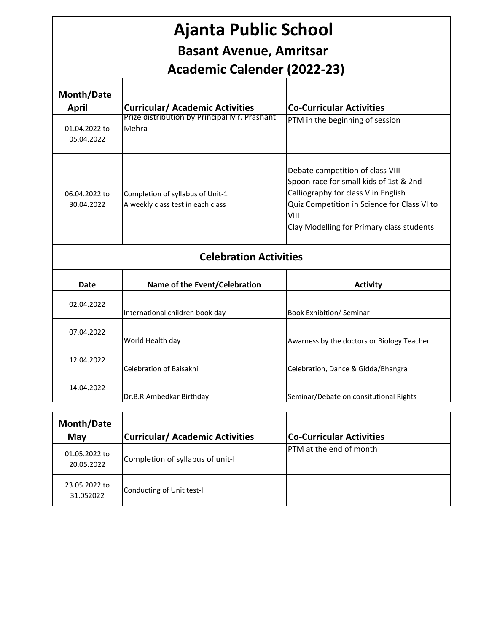| <b>Ajanta Public School</b><br><b>Basant Avenue, Amritsar</b><br><b>Academic Calender (2022-23)</b> |                                                                       |                                                                                                                                                                                                                       |
|-----------------------------------------------------------------------------------------------------|-----------------------------------------------------------------------|-----------------------------------------------------------------------------------------------------------------------------------------------------------------------------------------------------------------------|
| Month/Date<br><b>April</b>                                                                          | <b>Curricular/ Academic Activities</b>                                | <b>Co-Curricular Activities</b>                                                                                                                                                                                       |
| 01.04.2022 to<br>05.04.2022                                                                         | Prize distribution by Principal Mr. Prashant<br>Mehra                 | PTM in the beginning of session                                                                                                                                                                                       |
| 06.04.2022 to<br>30.04.2022                                                                         | Completion of syllabus of Unit-1<br>A weekly class test in each class | Debate competition of class VIII<br>Spoon race for small kids of 1st & 2nd<br>Calliography for class V in English<br>Quiz Competition in Science for Class VI to<br>VIII<br>Clay Modelling for Primary class students |
| <b>Celebration Activities</b>                                                                       |                                                                       |                                                                                                                                                                                                                       |
| Date                                                                                                | Name of the Event/Celebration                                         | <b>Activity</b>                                                                                                                                                                                                       |
| 02.04.2022                                                                                          | International children book day                                       | <b>Book Exhibition/ Seminar</b>                                                                                                                                                                                       |
| 07.04.2022                                                                                          | World Health day                                                      | Awarness by the doctors or Biology Teacher                                                                                                                                                                            |
| 12.04.2022                                                                                          | Celebration of Baisakhi                                               | Celebration, Dance & Gidda/Bhangra                                                                                                                                                                                    |
| 14.04.2022                                                                                          | Dr.B.R.Ambedkar Birthday                                              | Seminar/Debate on consitutional Rights                                                                                                                                                                                |
|                                                                                                     |                                                                       |                                                                                                                                                                                                                       |

| Month/Date<br>May           | <b>Curricular/ Academic Activities</b> | <b>Co-Curricular Activities</b> |
|-----------------------------|----------------------------------------|---------------------------------|
| 01.05.2022 to<br>20.05.2022 | Completion of syllabus of unit-I       | <b>IPTM</b> at the end of month |
| 23.05.2022 to<br>31.052022  | Conducting of Unit test-I              |                                 |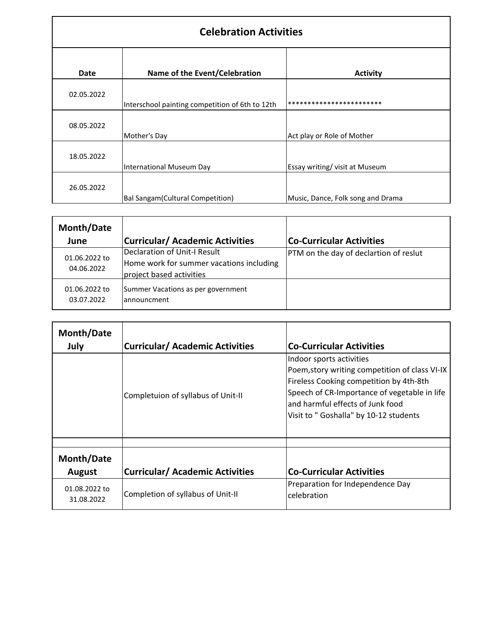| <b>Celebration Activities</b> |                                                 |                                   |
|-------------------------------|-------------------------------------------------|-----------------------------------|
| <b>Date</b>                   | Name of the Event/Celebration                   | <b>Activity</b>                   |
| 02.05.2022                    | Interschool painting competition of 6th to 12th | ************************          |
| 08.05.2022                    | Mother's Day                                    | Act play or Role of Mother        |
| 18.05.2022                    | International Museum Day                        | Essay writing/ visit at Museum    |
| 26.05.2022                    | <b>Bal Sangam</b> (Cultural Competition)        | Music, Dance, Folk song and Drama |

| Month/Date<br>June          | <b>Curricular/ Academic Activities</b>                                                               | <b>Co-Curricular Activities</b>        |
|-----------------------------|------------------------------------------------------------------------------------------------------|----------------------------------------|
| 01.06.2022 to<br>04.06.2022 | Declaration of Unit-I Result<br>Home work for summer vacations including<br>project based activities | PTM on the day of declartion of reslut |
| 01.06.2022 to<br>03.07.2022 | Summer Vacations as per government<br>announcment                                                    |                                        |

| Month/Date<br>July          | <b>Curricular/ Academic Activities</b> | <b>Co-Curricular Activities</b>                                                                                                                                                                                                                    |
|-----------------------------|----------------------------------------|----------------------------------------------------------------------------------------------------------------------------------------------------------------------------------------------------------------------------------------------------|
|                             | Completuion of syllabus of Unit-II     | Indoor sports activities<br>Poem, story writing competition of class VI-IX<br>Fireless Cooking competition by 4th-8th<br>Speech of CR-Importance of vegetable in life<br>and harmful effects of Junk food<br>Visit to "Goshalla" by 10-12 students |
|                             |                                        |                                                                                                                                                                                                                                                    |
| Month/Date                  |                                        |                                                                                                                                                                                                                                                    |
| August                      | <b>Curricular/ Academic Activities</b> | <b>Co-Curricular Activities</b>                                                                                                                                                                                                                    |
| 01.08.2022 to<br>31.08.2022 | Completion of syllabus of Unit-II      | Preparation for Independence Day<br>celebration                                                                                                                                                                                                    |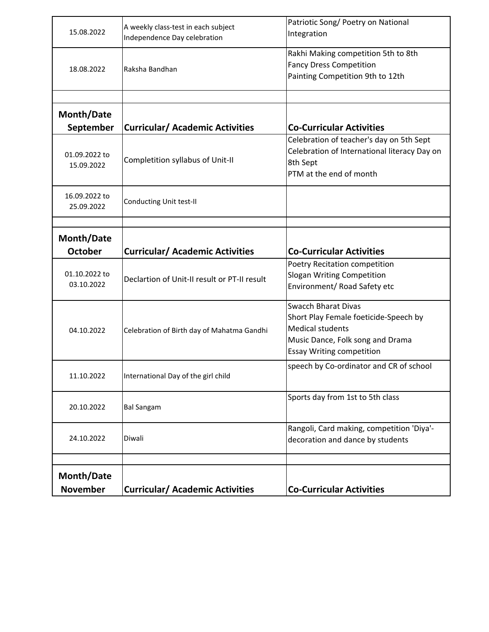| 15.08.2022                    | A weekly class-test in each subject<br>Independence Day celebration | Patriotic Song/ Poetry on National<br>Integration                                                                                                                      |
|-------------------------------|---------------------------------------------------------------------|------------------------------------------------------------------------------------------------------------------------------------------------------------------------|
| 18.08.2022                    | Raksha Bandhan                                                      | Rakhi Making competition 5th to 8th<br><b>Fancy Dress Competition</b><br>Painting Competition 9th to 12th                                                              |
|                               |                                                                     |                                                                                                                                                                        |
| Month/Date<br>September       | <b>Curricular/ Academic Activities</b>                              | <b>Co-Curricular Activities</b>                                                                                                                                        |
| 01.09.2022 to<br>15.09.2022   | Completition syllabus of Unit-II                                    | Celebration of teacher's day on 5th Sept<br>Celebration of International literacy Day on<br>8th Sept<br>PTM at the end of month                                        |
| 16.09.2022 to<br>25.09.2022   | Conducting Unit test-II                                             |                                                                                                                                                                        |
|                               |                                                                     |                                                                                                                                                                        |
| Month/Date                    |                                                                     |                                                                                                                                                                        |
| <b>October</b>                | <b>Curricular/ Academic Activities</b>                              | <b>Co-Curricular Activities</b><br>Poetry Recitation competition                                                                                                       |
| 01.10.2022 to<br>03.10.2022   | Declartion of Unit-II result or PT-II result                        | <b>Slogan Writing Competition</b><br>Environment/ Road Safety etc                                                                                                      |
| 04.10.2022                    | Celebration of Birth day of Mahatma Gandhi                          | <b>Swacch Bharat Divas</b><br>Short Play Female foeticide-Speech by<br><b>Medical students</b><br>Music Dance, Folk song and Drama<br><b>Essay Writing competition</b> |
| 11.10.2022                    | International Day of the girl child                                 | speech by Co-ordinator and CR of school                                                                                                                                |
| 20.10.2022                    | <b>Bal Sangam</b>                                                   | Sports day from 1st to 5th class                                                                                                                                       |
| 24.10.2022                    | Diwali                                                              | Rangoli, Card making, competition 'Diya'-<br>decoration and dance by students                                                                                          |
|                               |                                                                     |                                                                                                                                                                        |
| Month/Date<br><b>November</b> | <b>Curricular/ Academic Activities</b>                              | <b>Co-Curricular Activities</b>                                                                                                                                        |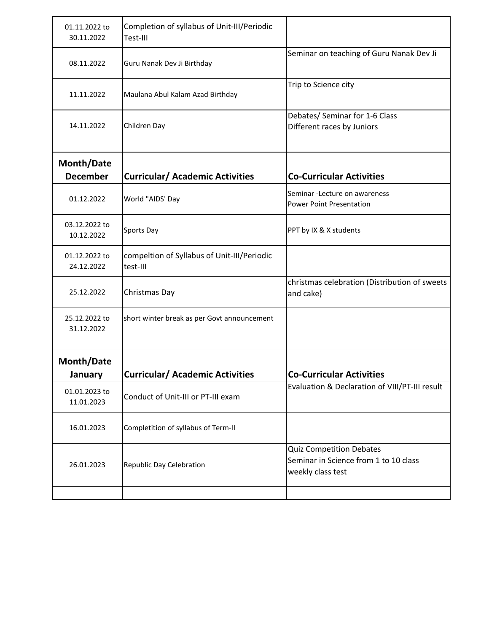| 01.11.2022 to<br>30.11.2022   | Completion of syllabus of Unit-III/Periodic<br>Test-III |                                                                                               |
|-------------------------------|---------------------------------------------------------|-----------------------------------------------------------------------------------------------|
| 08.11.2022                    | Guru Nanak Dev Ji Birthday                              | Seminar on teaching of Guru Nanak Dev Ji                                                      |
| 11.11.2022                    | Maulana Abul Kalam Azad Birthday                        | Trip to Science city                                                                          |
| 14.11.2022                    | Children Day                                            | Debates/ Seminar for 1-6 Class<br>Different races by Juniors                                  |
|                               |                                                         |                                                                                               |
| Month/Date<br><b>December</b> | <b>Curricular/ Academic Activities</b>                  | <b>Co-Curricular Activities</b>                                                               |
| 01.12.2022                    | World "AIDS' Day                                        | Seminar - Lecture on awareness<br><b>Power Point Presentation</b>                             |
| 03.12.2022 to<br>10.12.2022   | Sports Day                                              | PPT by IX & X students                                                                        |
| 01.12.2022 to<br>24.12.2022   | compeltion of Syllabus of Unit-III/Periodic<br>test-III |                                                                                               |
| 25.12.2022                    | Christmas Day                                           | christmas celebration (Distribution of sweets<br>and cake)                                    |
| 25.12.2022 to<br>31.12.2022   | short winter break as per Govt announcement             |                                                                                               |
|                               |                                                         |                                                                                               |
| Month/Date<br>January         | <b>Curricular/ Academic Activities</b>                  | <b>Co-Curricular Activities</b>                                                               |
| 01.01.2023 to<br>11.01.2023   | Conduct of Unit-III or PT-III exam                      | Evaluation & Declaration of VIII/PT-III result                                                |
| 16.01.2023                    | Completition of syllabus of Term-II                     |                                                                                               |
| 26.01.2023                    | Republic Day Celebration                                | <b>Quiz Competition Debates</b><br>Seminar in Science from 1 to 10 class<br>weekly class test |
|                               |                                                         |                                                                                               |